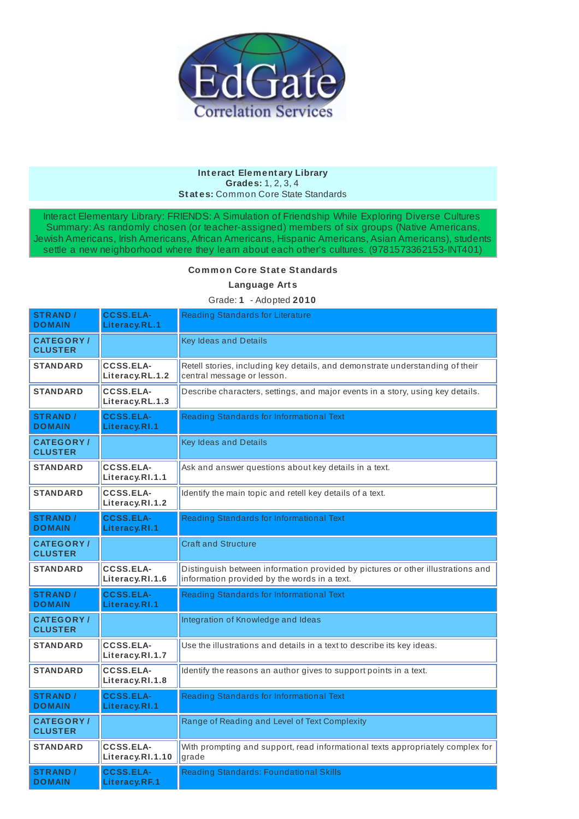

## **Int eract Element ary Library Grades:** 1, 2, 3, 4 **St at es:** Common Core State Standards

Interact Elementary Library: FRIENDS: A Simulation of Friendship While Exploring Diverse Cultures Summary: As randomly chosen (or teacher-assigned) members of six groups (Native Americans, Jewish Americans, Irish Americans, African Americans, Hispanic Americans, Asian Americans), students settle a new neighborhood where they learn about each other's cultures. (9781573362153-INT401)

## **Common Core St at e St andards**

**Language Art s**

Grade: **1** - Adopted **2010**

| <b>STRAND /</b><br><b>DOMAIN</b>   | <b>CCSS.ELA-</b><br>Literacy.RL.1    | <b>Reading Standards for Literature</b>                                                                                         |
|------------------------------------|--------------------------------------|---------------------------------------------------------------------------------------------------------------------------------|
| <b>CATEGORY/</b><br><b>CLUSTER</b> |                                      | <b>Key Ideas and Details</b>                                                                                                    |
| <b>STANDARD</b>                    | CCSS.ELA-<br>Literacy.RL.1.2         | Retell stories, including key details, and demonstrate understanding of their<br>central message or lesson.                     |
| <b>STANDARD</b>                    | CCSS.ELA-<br>Literacy.RL.1.3         | Describe characters, settings, and major events in a story, using key details.                                                  |
| <b>STRAND /</b><br><b>DOMAIN</b>   | <b>CCSS.ELA-</b><br>Literacy.RI.1    | Reading Standards for Informational Text                                                                                        |
| <b>CATEGORY/</b><br><b>CLUSTER</b> |                                      | <b>Key Ideas and Details</b>                                                                                                    |
| <b>STANDARD</b>                    | <b>CCSS.ELA-</b><br>Literacy.RI.1.1  | Ask and answer questions about key details in a text.                                                                           |
| <b>STANDARD</b>                    | <b>CCSS.ELA-</b><br>Literacy.RI.1.2  | Identify the main topic and retell key details of a text.                                                                       |
| <b>STRAND /</b><br><b>DOMAIN</b>   | <b>CCSS.ELA-</b><br>Literacy.RI.1    | Reading Standards for Informational Text                                                                                        |
| <b>CATEGORY/</b><br><b>CLUSTER</b> |                                      | <b>Craft and Structure</b>                                                                                                      |
| <b>STANDARD</b>                    | <b>CCSS.ELA-</b><br>Literacy.RI.1.6  | Distinguish between information provided by pictures or other illustrations and<br>information provided by the words in a text. |
| <b>STRAND /</b><br><b>DOMAIN</b>   | <b>CCSS.ELA-</b><br>Literacy.RI.1    | Reading Standards for Informational Text                                                                                        |
| <b>CATEGORY/</b><br><b>CLUSTER</b> |                                      | Integration of Knowledge and Ideas                                                                                              |
| <b>STANDARD</b>                    | <b>CCSS.ELA-</b><br>Literacy.RI.1.7  | Use the illustrations and details in a text to describe its key ideas.                                                          |
| <b>STANDARD</b>                    | <b>CCSS.ELA-</b><br>Literacy.RI.1.8  | Identify the reasons an author gives to support points in a text.                                                               |
| <b>STRAND /</b><br><b>DOMAIN</b>   | <b>CCSS.ELA-</b><br>Literacy.RI.1    | Reading Standards for Informational Text                                                                                        |
| <b>CATEGORY/</b><br><b>CLUSTER</b> |                                      | Range of Reading and Level of Text Complexity                                                                                   |
| <b>STANDARD</b>                    | <b>CCSS.ELA-</b><br>Literacy.RI.1.10 | With prompting and support, read informational texts appropriately complex for<br>grade                                         |
| <b>STRAND /</b><br><b>DOMAIN</b>   | <b>CCSS.ELA-</b><br>Literacy.RF.1    | Reading Standards: Foundational Skills                                                                                          |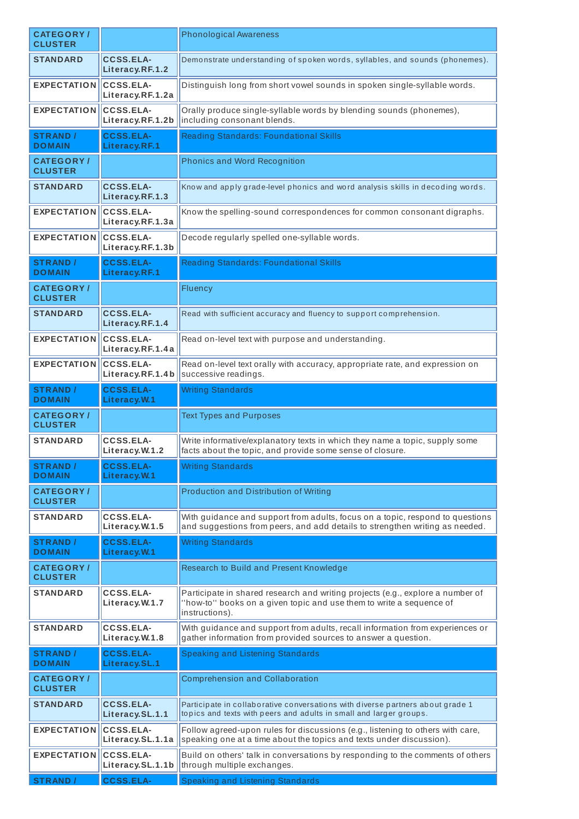| <b>CATEGORY/</b><br><b>CLUSTER</b>  |                                        | <b>Phonological Awareness</b>                                                                                                                                            |
|-------------------------------------|----------------------------------------|--------------------------------------------------------------------------------------------------------------------------------------------------------------------------|
| <b>STANDARD</b>                     | <b>CCSS.ELA-</b><br>Literacy.RF.1.2    | Demonstrate understanding of spoken words, syllables, and sounds (phonemes).                                                                                             |
| <b>EXPECTATION</b>                  | <b>CCSS.ELA-</b><br>Literacy.RF.1.2a   | Distinguish long from short vowel sounds in spoken single-syllable words.                                                                                                |
| <b>EXPECTATION</b>                  | <b>CCSS.ELA-</b><br>Literacy.RF.1.2b   | Orally produce single-syllable words by blending sounds (phonemes),<br>including consonant blends.                                                                       |
| <b>STRAND /</b><br><b>DOMAIN</b>    | <b>CCSS.ELA-</b><br>Literacy.RF.1      | Reading Standards: Foundational Skills                                                                                                                                   |
| <b>CATEGORY</b> /<br><b>CLUSTER</b> |                                        | <b>Phonics and Word Recognition</b>                                                                                                                                      |
| <b>STANDARD</b>                     | <b>CCSS.ELA-</b><br>Literacy.RF.1.3    | Know and apply grade-level phonics and word analysis skills in decoding words.                                                                                           |
| <b>EXPECTATION</b>                  | <b>CCSS.ELA-</b><br>Literacy.RF.1.3a   | Know the spelling-sound correspondences for common consonant digraphs.                                                                                                   |
| <b>EXPECTATION</b>                  | <b>CCSS.ELA-</b><br>Literacy.RF.1.3b   | Decode regularly spelled one-syllable words.                                                                                                                             |
| <b>STRAND /</b><br><b>DOMAIN</b>    | <b>CCSS.ELA-</b><br>Literacy.RF.1      | <b>Reading Standards: Foundational Skills</b>                                                                                                                            |
| <b>CATEGORY/</b><br><b>CLUSTER</b>  |                                        | Fluency                                                                                                                                                                  |
| <b>STANDARD</b>                     | <b>CCSS.ELA-</b><br>Literacy.RF.1.4    | Read with sufficient accuracy and fluency to support comprehension.                                                                                                      |
| <b>EXPECTATION</b>                  | <b>CCSS.ELA-</b><br>Literacy.RF.1.4a   | Read on-level text with purpose and understanding.                                                                                                                       |
| <b>EXPECTATION</b>                  | <b>CCSS.ELA-</b><br>Literacy. RF. 1.4b | Read on-level text orally with accuracy, appropriate rate, and expression on<br>successive readings.                                                                     |
| <b>STRAND /</b><br><b>DOMAIN</b>    | <b>CCSS.ELA-</b><br>Literacy.W.1       | <b>Writing Standards</b>                                                                                                                                                 |
| <b>CATEGORY/</b><br><b>CLUSTER</b>  |                                        | <b>Text Types and Purposes</b>                                                                                                                                           |
| <b>STANDARD</b>                     | <b>CCSS.ELA-</b><br>Literacy.W.1.2     | Write informative/explanatory texts in which they name a topic, supply some<br>facts about the topic, and provide some sense of closure.                                 |
| <b>STRAND /</b><br><b>DOMAIN</b>    | <b>CCSS.ELA-</b><br>Literacy. W.1      | <b>Writing Standards</b>                                                                                                                                                 |
| <b>CATEGORY/</b><br><b>CLUSTER</b>  |                                        | Production and Distribution of Writing                                                                                                                                   |
| <b>STANDARD</b>                     | <b>CCSS.ELA-</b><br>Literacy.W.1.5     | With guidance and support from adults, focus on a topic, respond to questions<br>and suggestions from peers, and add details to strengthen writing as needed.            |
| <b>STRAND /</b><br><b>DOMAIN</b>    | <b>CCSS.ELA-</b><br>Literacy.W.1       | <b>Writing Standards</b>                                                                                                                                                 |
| <b>CATEGORY/</b><br><b>CLUSTER</b>  |                                        | Research to Build and Present Knowledge                                                                                                                                  |
| <b>STANDARD</b>                     | CCSS.ELA-<br>Literacy.W.1.7            | Participate in shared research and writing projects (e.g., explore a number of<br>'how-to'' books on a given topic and use them to write a sequence of<br>instructions). |
| <b>STANDARD</b>                     | CCSS.ELA-<br>Literacy.W.1.8            | With guidance and support from adults, recall information from experiences or<br>gather information from provided sources to answer a question.                          |
| <b>STRAND /</b><br><b>DOMAIN</b>    | <b>CCSS.ELA-</b><br>Literacy.SL.1      | Speaking and Listening Standards                                                                                                                                         |
| <b>CATEGORY/</b><br><b>CLUSTER</b>  |                                        | <b>Comprehension and Collaboration</b>                                                                                                                                   |
| <b>STANDARD</b>                     | <b>CCSS.ELA-</b><br>Literacy.SL.1.1    | Participate in collaborative conversations with diverse partners about grade 1<br>topics and texts with peers and adults in small and larger groups.                     |
|                                     |                                        |                                                                                                                                                                          |
| <b>EXPECTATION</b>                  | <b>CCSS.ELA-</b><br>Literacy.SL.1.1a   | Follow agreed-upon rules for discussions (e.g., listening to others with care,<br>speaking one at a time about the topics and texts under discussion).                   |
| <b>EXPECTATION</b>                  | <b>CCSS.ELA-</b><br>Literacy.SL.1.1b   | Build on others' talk in conversations by responding to the comments of others<br>through multiple exchanges.                                                            |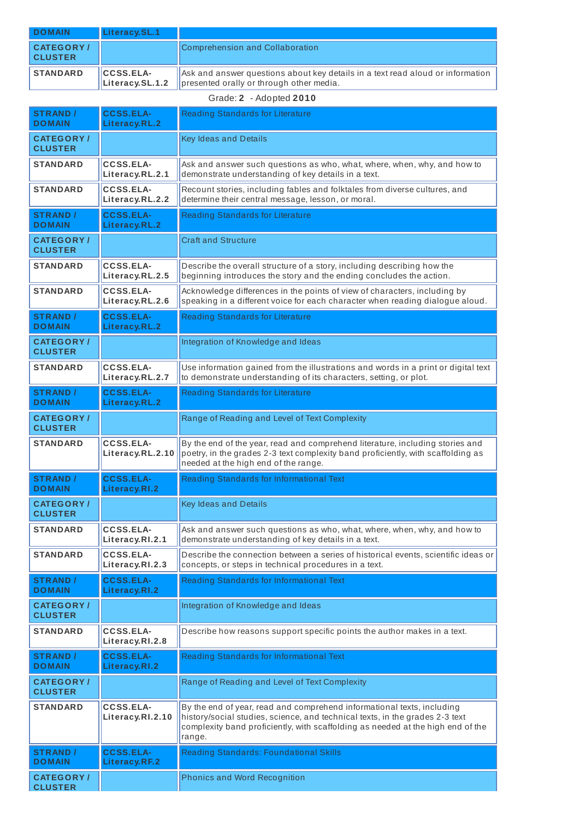| <b>DOMAIN</b>                     | Literacy.SL.1                       |                                                                                                                                                      |
|-----------------------------------|-------------------------------------|------------------------------------------------------------------------------------------------------------------------------------------------------|
| <b>CATEGORY</b><br><b>CLUSTER</b> |                                     | Comprehension and Collaboration                                                                                                                      |
| <b>STANDARD</b>                   | <b>CCSS.ELA-</b><br>Literacy.SL.1.2 | $\parallel$ Ask and answer questions about key details in a text read aloud or information $\parallel$<br>  presented orally or through other media. |

## Grade: **2** - Adopted **2010**

| <b>STRAND /</b><br><b>DOMAIN</b>   | <b>CCSS.ELA-</b><br>Literacy.RL.2    | <b>Reading Standards for Literature</b>                                                                                                                                                                                                             |
|------------------------------------|--------------------------------------|-----------------------------------------------------------------------------------------------------------------------------------------------------------------------------------------------------------------------------------------------------|
| <b>CATEGORY/</b><br><b>CLUSTER</b> |                                      | Key Ideas and Details                                                                                                                                                                                                                               |
| <b>STANDARD</b>                    | <b>CCSS.ELA-</b><br>Literacy.RL.2.1  | Ask and answer such questions as who, what, where, when, why, and how to<br>demonstrate understanding of key details in a text.                                                                                                                     |
| <b>STANDARD</b>                    | <b>CCSS.ELA-</b><br>Literacy.RL.2.2  | Recount stories, including fables and folktales from diverse cultures, and<br>determine their central message, lesson, or moral.                                                                                                                    |
| <b>STRAND /</b><br><b>DOMAIN</b>   | <b>CCSS.ELA-</b><br>Literacy.RL.2    | Reading Standards for Literature                                                                                                                                                                                                                    |
| <b>CATEGORY/</b><br><b>CLUSTER</b> |                                      | <b>Craft and Structure</b>                                                                                                                                                                                                                          |
| <b>STANDARD</b>                    | <b>CCSS.ELA-</b><br>Literacy.RL.2.5  | Describe the overall structure of a story, including describing how the<br>beginning introduces the story and the ending concludes the action.                                                                                                      |
| <b>STANDARD</b>                    | <b>CCSS.ELA-</b><br>Literacy.RL.2.6  | Acknowledge differences in the points of view of characters, including by<br>speaking in a different voice for each character when reading dialogue aloud.                                                                                          |
| <b>STRAND /</b><br><b>DOMAIN</b>   | <b>CCSS.ELA-</b><br>Literacy.RL.2    | Reading Standards for Literature                                                                                                                                                                                                                    |
| <b>CATEGORY/</b><br><b>CLUSTER</b> |                                      | Integration of Knowledge and Ideas                                                                                                                                                                                                                  |
| <b>STANDARD</b>                    | <b>CCSS.ELA-</b><br>Literacy.RL.2.7  | Use information gained from the illustrations and words in a print or digital text<br>to demonstrate understanding of its characters, setting, or plot.                                                                                             |
| <b>STRAND /</b><br><b>DOMAIN</b>   | <b>CCSS.ELA-</b><br>Literacy.RL.2    | <b>Reading Standards for Literature</b>                                                                                                                                                                                                             |
| <b>CATEGORY/</b><br><b>CLUSTER</b> |                                      | Range of Reading and Level of Text Complexity                                                                                                                                                                                                       |
| <b>STANDARD</b>                    | <b>CCSS.ELA-</b><br>Literacy.RL.2.10 | By the end of the year, read and comprehend literature, including stories and<br>poetry, in the grades 2-3 text complexity band proficiently, with scaffolding as<br>needed at the high end of the range.                                           |
| <b>STRAND /</b><br><b>DOMAIN</b>   | <b>CCSS.ELA-</b><br>Literacy.RI.2    | Reading Standards for Informational Text                                                                                                                                                                                                            |
| <b>CATEGORY/</b><br><b>CLUSTER</b> |                                      | <b>Key Ideas and Details</b>                                                                                                                                                                                                                        |
| <b>STANDARD</b>                    | <b>CCSS.ELA-</b><br>Literacy.RI.2.1  | Ask and answer such questions as who, what, where, when, why, and how to<br>demonstrate understanding of key details in a text.                                                                                                                     |
| <b>STANDARD</b>                    | <b>CCSS.ELA-</b><br>Literacy.RI.2.3  | Describe the connection between a series of historical events, scientific ideas or<br>concepts, or steps in technical procedures in a text.                                                                                                         |
| <b>STRAND /</b><br><b>DOMAIN</b>   | <b>CCSS.ELA-</b><br>Literacy.RI.2    | Reading Standards for Informational Text                                                                                                                                                                                                            |
| <b>CATEGORY/</b><br><b>CLUSTER</b> |                                      | Integration of Knowledge and Ideas                                                                                                                                                                                                                  |
| STANDARD                           | <b>CCSS.ELA-</b><br>Literacy.RI.2.8  | Describe how reasons support specific points the author makes in a text.                                                                                                                                                                            |
| <b>STRAND /</b><br><b>DOMAIN</b>   | <b>CCSS.ELA-</b><br>Literacy.RI.2    | Reading Standards for Informational Text                                                                                                                                                                                                            |
| <b>CATEGORY/</b><br><b>CLUSTER</b> |                                      | Range of Reading and Level of Text Complexity                                                                                                                                                                                                       |
| <b>STANDARD</b>                    | <b>CCSS.ELA-</b><br>Literacy.RI.2.10 | By the end of year, read and comprehend informational texts, including<br>history/social studies, science, and technical texts, in the grades 2-3 text<br>complexity band proficiently, with scaffolding as needed at the high end of the<br>range. |
| <b>STRAND /</b><br><b>DOMAIN</b>   | <b>CCSS.ELA-</b><br>Literacy.RF.2    | Reading Standards: Foundational Skills                                                                                                                                                                                                              |
| <b>CATEGORY/</b><br><b>CLUSTER</b> |                                      | <b>Phonics and Word Recognition</b>                                                                                                                                                                                                                 |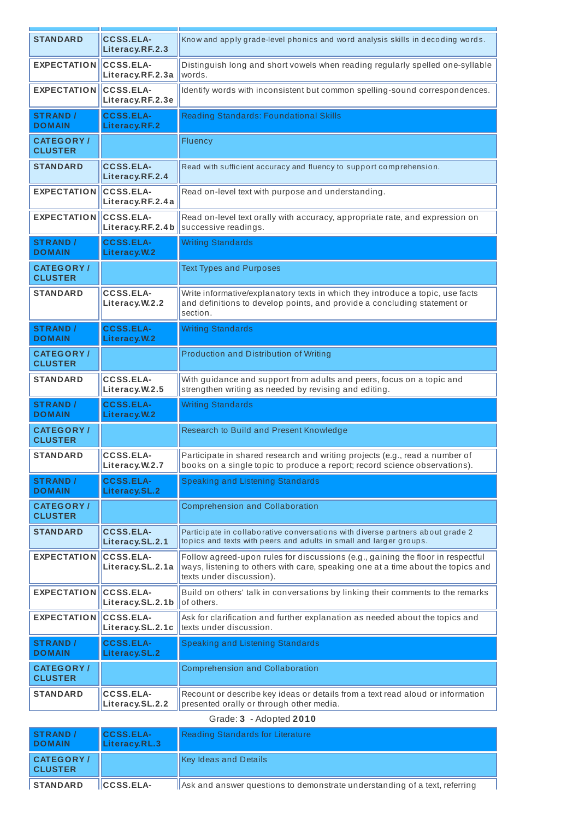| <b>STANDARD</b>                    | <b>CCSS.ELA-</b><br>Literacy.RF.2.3  | Know and apply grade-level phonics and word analysis skills in decoding words.                                                                                                                  |
|------------------------------------|--------------------------------------|-------------------------------------------------------------------------------------------------------------------------------------------------------------------------------------------------|
| <b>EXPECTATION</b>                 | <b>CCSS.ELA-</b><br>Literacy.RF.2.3a | Distinguish long and short vowels when reading regularly spelled one-syllable<br>words.                                                                                                         |
| <b>EXPECTATION</b>                 | <b>CCSS.ELA-</b><br>Literacy.RF.2.3e | Identify words with inconsistent but common spelling-sound correspondences.                                                                                                                     |
| <b>STRAND /</b><br><b>DOMAIN</b>   | <b>CCSS.ELA-</b><br>Literacy.RF.2    | <b>Reading Standards: Foundational Skills</b>                                                                                                                                                   |
| <b>CATEGORY/</b><br><b>CLUSTER</b> |                                      | Fluency                                                                                                                                                                                         |
| <b>STANDARD</b>                    | <b>CCSS.ELA-</b><br>Literacy.RF.2.4  | Read with sufficient accuracy and fluency to support comprehension.                                                                                                                             |
| <b>EXPECTATION</b>                 | <b>CCSS.ELA-</b><br>Literacy.RF.2.4a | Read on-level text with purpose and understanding.                                                                                                                                              |
| <b>EXPECTATION</b>                 | <b>CCSS.ELA-</b><br>Literacy.RF.2.4b | Read on-level text orally with accuracy, appropriate rate, and expression on<br>successive readings.                                                                                            |
| <b>STRAND /</b><br><b>DOMAIN</b>   | <b>CCSS.ELA-</b><br>Literacy.W.2     | <b>Writing Standards</b>                                                                                                                                                                        |
| <b>CATEGORY/</b><br><b>CLUSTER</b> |                                      | <b>Text Types and Purposes</b>                                                                                                                                                                  |
| <b>STANDARD</b>                    | <b>CCSS.ELA-</b><br>Literacy.W.2.2   | Write informative/explanatory texts in which they introduce a topic, use facts<br>and definitions to develop points, and provide a concluding statement or<br>section.                          |
| <b>STRAND /</b><br><b>DOMAIN</b>   | <b>CCSS.ELA-</b><br>Literacy.W.2     | <b>Writing Standards</b>                                                                                                                                                                        |
| <b>CATEGORY/</b><br><b>CLUSTER</b> |                                      | Production and Distribution of Writing                                                                                                                                                          |
| <b>STANDARD</b>                    | <b>CCSS.ELA-</b><br>Literacy.W.2.5   | With guidance and support from adults and peers, focus on a topic and<br>strengthen writing as needed by revising and editing.                                                                  |
| <b>STRAND /</b><br><b>DOMAIN</b>   | <b>CCSS.ELA-</b><br>Literacy.W.2     | <b>Writing Standards</b>                                                                                                                                                                        |
| <b>CATEGORY/</b><br><b>CLUSTER</b> |                                      | Research to Build and Present Knowledge                                                                                                                                                         |
| <b>STANDARD</b>                    | <b>CCSS.ELA-</b>                     | Participate in shared research and writing projects (e.g., read a number of<br>books on a single topic to produce a report; record science observations).                                       |
|                                    | Literacy.W.2.7                       |                                                                                                                                                                                                 |
| <b>STRAND /</b><br><b>DOMAIN</b>   | <b>CCSS.ELA-</b><br>Literacy.SL.2    | <b>Speaking and Listening Standards</b>                                                                                                                                                         |
| <b>CATEGORY/</b><br><b>CLUSTER</b> |                                      | <b>Comprehension and Collaboration</b>                                                                                                                                                          |
| <b>STANDARD</b>                    | <b>CCSS.ELA-</b><br>Literacy.SL.2.1  | Participate in collaborative conversations with diverse partners about grade 2<br>topics and texts with peers and adults in small and larger groups.                                            |
| <b>EXPECTATION</b>                 | <b>CCSS.ELA-</b><br>Literacy.SL.2.1a | Follow agreed-upon rules for discussions (e.g., gaining the floor in respectful<br>ways, listening to others with care, speaking one at a time about the topics and<br>texts under discussion). |
| <b>EXPECTATION</b>                 | <b>CCSS.ELA-</b><br>Literacy.SL.2.1b | Build on others' talk in conversations by linking their comments to the remarks<br>of others.                                                                                                   |
| <b>EXPECTATION</b>                 | <b>CCSS.ELA-</b><br>Literacy.SL.2.1c | Ask for clarification and further explanation as needed about the topics and<br>texts under discussion.                                                                                         |
| <b>STRAND /</b><br><b>DOMAIN</b>   | <b>CCSS.ELA-</b><br>Literacy.SL.2    | <b>Speaking and Listening Standards</b>                                                                                                                                                         |
| <b>CATEGORY/</b><br><b>CLUSTER</b> |                                      | <b>Comprehension and Collaboration</b>                                                                                                                                                          |
| <b>STANDARD</b>                    | <b>CCSS.ELA-</b><br>Literacy.SL.2.2  | Recount or describe key ideas or details from a text read aloud or information<br>presented orally or through other media.                                                                      |
| <b>STRAND /</b>                    | <b>CCSS FLA-</b>                     | Grade: 3 - Adopted 2010<br>Reading Standards for Literature                                                                                                                                     |

**CLUSTER** 

| <b>STRAND</b><br><b>DOMAIN</b>      | <b>CCSS.ELA-</b><br>Literacy.RL.3 | Reading Standards for Literature                                           |
|-------------------------------------|-----------------------------------|----------------------------------------------------------------------------|
| <b>CATEGORY /</b><br><b>CLUSTER</b> |                                   | Key Ideas and Details                                                      |
| <b>STANDARD</b>                     | <b>ICCSS.ELA-</b>                 | Ask and answer questions to demonstrate understanding of a text, referring |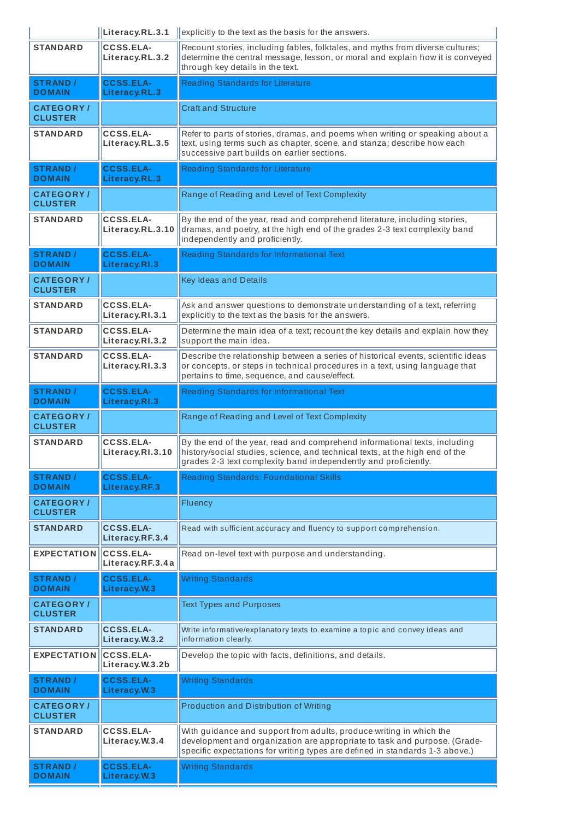|                                    | Literacy.RL.3.1                      | explicitly to the text as the basis for the answers.                                                                                                                                                                             |
|------------------------------------|--------------------------------------|----------------------------------------------------------------------------------------------------------------------------------------------------------------------------------------------------------------------------------|
| STANDARD                           | <b>CCSS.ELA-</b><br>Literacy.RL.3.2  | Recount stories, including fables, folktales, and myths from diverse cultures;<br>determine the central message, lesson, or moral and explain how it is conveyed<br>through key details in the text.                             |
| <b>STRAND /</b><br><b>DOMAIN</b>   | <b>CCSS.ELA-</b><br>Literacy.RL.3    | <b>Reading Standards for Literature</b>                                                                                                                                                                                          |
| <b>CATEGORY/</b><br><b>CLUSTER</b> |                                      | <b>Craft and Structure</b>                                                                                                                                                                                                       |
| STANDARD                           | <b>CCSS.ELA-</b><br>Literacy.RL.3.5  | Refer to parts of stories, dramas, and poems when writing or speaking about a<br>text, using terms such as chapter, scene, and stanza; describe how each<br>successive part builds on earlier sections.                          |
| <b>STRAND /</b><br><b>DOMAIN</b>   | <b>CCSS.ELA-</b><br>Literacy.RL.3    | Reading Standards for Literature                                                                                                                                                                                                 |
| <b>CATEGORY/</b><br><b>CLUSTER</b> |                                      | Range of Reading and Level of Text Complexity                                                                                                                                                                                    |
| <b>STANDARD</b>                    | <b>CCSS.ELA-</b><br>Literacy.RL.3.10 | By the end of the year, read and comprehend literature, including stories,<br>dramas, and poetry, at the high end of the grades 2-3 text complexity band<br>independently and proficiently.                                      |
| <b>STRAND /</b><br><b>DOMAIN</b>   | <b>CCSS.ELA-</b><br>Literacy.RI.3    | Reading Standards for Informational Text                                                                                                                                                                                         |
| <b>CATEGORY/</b><br><b>CLUSTER</b> |                                      | Key Ideas and Details                                                                                                                                                                                                            |
| <b>STANDARD</b>                    | <b>CCSS.ELA-</b><br>Literacy.RI.3.1  | Ask and answer questions to demonstrate understanding of a text, referring<br>explicitly to the text as the basis for the answers.                                                                                               |
| <b>STANDARD</b>                    | <b>CCSS.ELA-</b><br>Literacy.RI.3.2  | Determine the main idea of a text; recount the key details and explain how they<br>support the main idea.                                                                                                                        |
| <b>STANDARD</b>                    | <b>CCSS.ELA-</b><br>Literacy.RI.3.3  | Describe the relationship between a series of historical events, scientific ideas<br>or concepts, or steps in technical procedures in a text, using language that<br>pertains to time, sequence, and cause/effect.               |
| <b>STRAND /</b><br><b>DOMAIN</b>   | <b>CCSS.ELA-</b><br>Literacy.RI.3    | Reading Standards for Informational Text                                                                                                                                                                                         |
| <b>CATEGORY/</b><br><b>CLUSTER</b> |                                      | Range of Reading and Level of Text Complexity                                                                                                                                                                                    |
| <b>STANDARD</b>                    | <b>CCSS.ELA-</b><br>Literacy.RI.3.10 | By the end of the year, read and comprehend informational texts, including<br>history/social studies, science, and technical texts, at the high end of the                                                                       |
|                                    |                                      | grades 2-3 text complexity band independently and proficiently.                                                                                                                                                                  |
| <b>STRAND /</b><br><b>DOMAIN</b>   | <b>CCSS.ELA-</b><br>Literacy.RF.3    | Reading Standards: Foundational Skills                                                                                                                                                                                           |
| <b>CATEGORY/</b><br><b>CLUSTER</b> |                                      | Fluency                                                                                                                                                                                                                          |
| <b>STANDARD</b>                    | <b>CCSS.ELA-</b><br>Literacy.RF.3.4  | Read with sufficient accuracy and fluency to support comprehension.                                                                                                                                                              |
| <b>EXPECTATION</b>                 | <b>CCSS.ELA-</b><br>Literacy.RF.3.4a | Read on-level text with purpose and understanding.                                                                                                                                                                               |
| <b>STRAND /</b><br><b>DOMAIN</b>   | <b>CCSS.ELA-</b><br>Literacy. W.3    | <b>Writing Standards</b>                                                                                                                                                                                                         |
| <b>CATEGORY/</b><br><b>CLUSTER</b> |                                      | <b>Text Types and Purposes</b>                                                                                                                                                                                                   |
| <b>STANDARD</b>                    | <b>CCSS.ELA-</b><br>Literacy.W.3.2   | Write informative/explanatory texts to examine a topic and convey ideas and<br>information clearly.                                                                                                                              |
| <b>EXPECTATION</b>                 | <b>CCSS.ELA-</b><br>Literacy.W.3.2b  | Develop the topic with facts, definitions, and details.                                                                                                                                                                          |
| <b>STRAND /</b><br><b>DOMAIN</b>   | <b>CCSS.ELA-</b><br>Literacy.W.3     | <b>Writing Standards</b>                                                                                                                                                                                                         |
| <b>CATEGORY/</b><br><b>CLUSTER</b> |                                      | <b>Production and Distribution of Writing</b>                                                                                                                                                                                    |
| <b>STANDARD</b>                    | <b>CCSS.ELA-</b><br>Literacy.W.3.4   | With guidance and support from adults, produce writing in which the<br>development and organization are appropriate to task and purpose. (Grade-<br>specific expectations for writing types are defined in standards 1-3 above.) |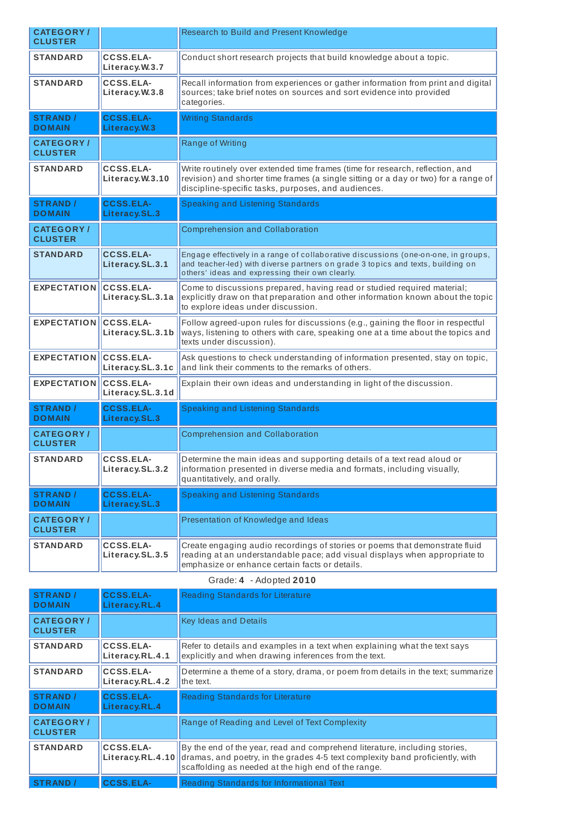| <b>CATEGORY/</b><br><b>CLUSTER</b> |                                      | Research to Build and Present Knowledge                                                                                                                                                                                     |
|------------------------------------|--------------------------------------|-----------------------------------------------------------------------------------------------------------------------------------------------------------------------------------------------------------------------------|
| <b>STANDARD</b>                    | CCSS.ELA-<br>Literacy.W.3.7          | Conduct short research projects that build knowledge about a topic.                                                                                                                                                         |
| <b>STANDARD</b>                    | <b>CCSS.ELA-</b><br>Literacy.W.3.8   | Recall information from experiences or gather information from print and digital<br>sources; take brief notes on sources and sort evidence into provided<br>categories.                                                     |
| <b>STRAND</b> /<br><b>DOMAIN</b>   | <b>CCSS.ELA-</b><br>Literacy. W.3    | <b>Writing Standards</b>                                                                                                                                                                                                    |
| <b>CATEGORY/</b><br><b>CLUSTER</b> |                                      | Range of Writing                                                                                                                                                                                                            |
| <b>STANDARD</b>                    | <b>CCSS.ELA-</b><br>Literacy.W.3.10  | Write routinely over extended time frames (time for research, reflection, and<br>revision) and shorter time frames (a single sitting or a day or two) for a range of<br>discipline-specific tasks, purposes, and audiences. |
| <b>STRAND /</b><br><b>DOMAIN</b>   | <b>CCSS.ELA-</b><br>Literacy.SL.3    | Speaking and Listening Standards                                                                                                                                                                                            |
| <b>CATEGORY/</b><br><b>CLUSTER</b> |                                      | <b>Comprehension and Collaboration</b>                                                                                                                                                                                      |
| <b>STANDARD</b>                    | <b>CCSS.ELA-</b><br>Literacy.SL.3.1  | Engage effectively in a range of collaborative discussions (one-on-one, in groups,<br>and teacher-led) with diverse partners on grade 3 topics and texts, building on<br>others' ideas and expressing their own clearly.    |
| <b>EXPECTATION</b>                 | CCSS.ELA-<br>Literacy.SL.3.1a        | Come to discussions prepared, having read or studied required material;<br>explicitly draw on that preparation and other information known about the topic<br>to explore ideas under discussion.                            |
| <b>EXPECTATION</b>                 | <b>CCSS.ELA-</b><br>Literacy.SL.3.1b | Follow agreed-upon rules for discussions (e.g., gaining the floor in respectful<br>ways, listening to others with care, speaking one at a time about the topics and<br>texts under discussion).                             |
| <b>EXPECTATION</b>                 | <b>CCSS.ELA-</b><br>Literacy.SL.3.1c | Ask questions to check understanding of information presented, stay on topic,<br>and link their comments to the remarks of others.                                                                                          |
| <b>EXPECTATION</b>                 | <b>CCSS.ELA-</b><br>Literacy.SL.3.1d | Explain their own ideas and understanding in light of the discussion.                                                                                                                                                       |
| <b>STRAND</b> /<br><b>DOMAIN</b>   | <b>CCSS.ELA-</b><br>Literacy.SL.3    | <b>Speaking and Listening Standards</b>                                                                                                                                                                                     |
| <b>CATEGORY/</b><br><b>CLUSTER</b> |                                      | <b>Comprehension and Collaboration</b>                                                                                                                                                                                      |
| <b>STANDARD</b>                    | <b>CCSS.ELA-</b><br>Literacy.SL.3.2  | Determine the main ideas and supporting details of a text read aloud or<br>information presented in diverse media and formats, including visually,<br>quantitatively, and orally.                                           |
| <b>STRAND</b> /<br><b>DOMAIN</b>   | <b>CCSS.ELA-</b><br>Literacy.SL.3    | <b>Speaking and Listening Standards</b>                                                                                                                                                                                     |
| <b>CATEGORY/</b><br><b>CLUSTER</b> |                                      | Presentation of Knowledge and Ideas                                                                                                                                                                                         |
| <b>STANDARD</b>                    | <b>CCSS.ELA-</b><br>Literacy.SL.3.5  | Create engaging audio recordings of stories or poems that demonstrate fluid<br>reading at an understandable pace; add visual displays when appropriate to<br>emphasize or enhance certain facts or details.                 |

Grade: **4** - Adopted **2010**

| <b>STRAND</b> /<br><b>DOMAIN</b>    | <b>CCSS.ELA-</b><br>Literacy.RL.4 | Reading Standards for Literature                                                                                                                                                                                   |
|-------------------------------------|-----------------------------------|--------------------------------------------------------------------------------------------------------------------------------------------------------------------------------------------------------------------|
| <b>CATEGORY</b> /<br><b>CLUSTER</b> |                                   | <b>Key Ideas and Details</b>                                                                                                                                                                                       |
| <b>STANDARD</b>                     | CCSS.ELA-<br>Literacy.RL.4.1      | Refer to details and examples in a text when explaining what the text says<br>explicitly and when drawing inferences from the text.                                                                                |
| <b>STANDARD</b>                     | CCSS.ELA-<br>Literacy.RL.4.2      | Determine a theme of a story, drama, or poem from details in the text; summarize<br>the text.                                                                                                                      |
| <b>STRAND</b> /<br><b>DOMAIN</b>    | <b>CCSS.ELA-</b><br>Literacy.RL.4 | <b>Reading Standards for Literature</b>                                                                                                                                                                            |
| <b>CATEGORY/</b><br><b>CLUSTER</b>  |                                   | Range of Reading and Level of Text Complexity                                                                                                                                                                      |
| <b>STANDARD</b>                     | CCSS.ELA-<br>Literacy.RL.4.10     | By the end of the year, read and comprehend literature, including stories,<br>dramas, and poetry, in the grades 4-5 text complexity band proficiently, with<br>scaffolding as needed at the high end of the range. |
| <b>STRAND /</b>                     | <b>CCSS.ELA-</b>                  | Reading Standards for Informational Text                                                                                                                                                                           |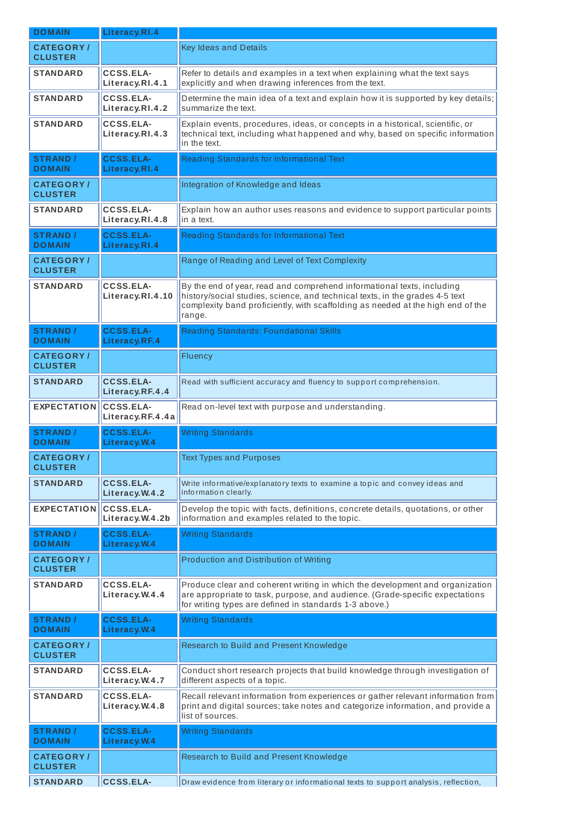| <b>DOMAIN</b>                      | Literacy.RI.4                        |                                                                                                                                                                                                                                                     |
|------------------------------------|--------------------------------------|-----------------------------------------------------------------------------------------------------------------------------------------------------------------------------------------------------------------------------------------------------|
| <b>CATEGORY/</b><br><b>CLUSTER</b> |                                      | Key Ideas and Details                                                                                                                                                                                                                               |
| <b>STANDARD</b>                    | <b>CCSS.ELA-</b><br>Literacy.RI.4.1  | Refer to details and examples in a text when explaining what the text says<br>explicitly and when drawing inferences from the text.                                                                                                                 |
| <b>STANDARD</b>                    | <b>CCSS.ELA-</b><br>Literacy.RI.4.2  | Determine the main idea of a text and explain how it is supported by key details;<br>summarize the text.                                                                                                                                            |
| <b>STANDARD</b>                    | CCSS.ELA-<br>Literacy.RI.4.3         | Explain events, procedures, ideas, or concepts in a historical, scientific, or<br>technical text, including what happened and why, based on specific information<br>in the text.                                                                    |
| <b>STRAND /</b><br><b>DOMAIN</b>   | <b>CCSS.ELA-</b><br>Literacy.RI.4    | Reading Standards for Informational Text                                                                                                                                                                                                            |
| <b>CATEGORY/</b><br><b>CLUSTER</b> |                                      | Integration of Knowledge and Ideas                                                                                                                                                                                                                  |
| <b>STANDARD</b>                    | <b>CCSS.ELA-</b><br>Literacy.RI.4.8  | Explain how an author uses reasons and evidence to support particular points<br>in a text.                                                                                                                                                          |
| <b>STRAND /</b><br><b>DOMAIN</b>   | <b>CCSS.ELA-</b><br>Literacy.RI.4    | Reading Standards for Informational Text                                                                                                                                                                                                            |
| <b>CATEGORY/</b><br><b>CLUSTER</b> |                                      | Range of Reading and Level of Text Complexity                                                                                                                                                                                                       |
| <b>STANDARD</b>                    | <b>CCSS.ELA-</b><br>Literacy.RI.4.10 | By the end of year, read and comprehend informational texts, including<br>history/social studies, science, and technical texts, in the grades 4-5 text<br>complexity band proficiently, with scaffolding as needed at the high end of the<br>range. |
| <b>STRAND /</b><br><b>DOMAIN</b>   | <b>CCSS.ELA-</b><br>Literacy.RF.4    | <b>Reading Standards: Foundational Skills</b>                                                                                                                                                                                                       |
| <b>CATEGORY/</b><br><b>CLUSTER</b> |                                      | Fluency                                                                                                                                                                                                                                             |
| <b>STANDARD</b>                    | <b>CCSS.ELA-</b><br>Literacy.RF.4.4  | Read with sufficient accuracy and fluency to support comprehension.                                                                                                                                                                                 |
| <b>EXPECTATION</b>                 | <b>CCSS.ELA-</b><br>Literacy.RF.4.4a | Read on-level text with purpose and understanding.                                                                                                                                                                                                  |
| <b>STRAND /</b><br><b>DOMAIN</b>   | <b>CCSS.ELA-</b><br>Literacy.W.4     | <b>Writing Standards</b>                                                                                                                                                                                                                            |
| <b>CATEGORY/</b><br><b>CLUSTER</b> |                                      | <b>Text Types and Purposes</b>                                                                                                                                                                                                                      |
| <b>STANDARD</b>                    | <b>CCSS.ELA-</b><br>Literacy.W.4.2   | Write informative/explanatory texts to examine a topic and convey ideas and<br>information clearly.                                                                                                                                                 |
| <b>EXPECTATION</b>                 | <b>CCSS.ELA-</b><br>Literacy.W.4.2b  | Develop the topic with facts, definitions, concrete details, quotations, or other<br>information and examples related to the topic.                                                                                                                 |
| <b>STRAND /</b><br><b>DOMAIN</b>   | <b>CCSS.ELA-</b><br>Literacy. W.4    | <b>Writing Standards</b>                                                                                                                                                                                                                            |
| <b>CATEGORY/</b><br><b>CLUSTER</b> |                                      | Production and Distribution of Writing                                                                                                                                                                                                              |
| <b>STANDARD</b>                    | <b>CCSS.ELA-</b><br>Literacy.W.4.4   | Produce clear and coherent writing in which the development and organization<br>are appropriate to task, purpose, and audience. (Grade-specific expectations<br>for writing types are defined in standards 1-3 above.)                              |
| <b>STRAND /</b><br><b>DOMAIN</b>   | <b>CCSS.ELA-</b><br>Literacy. W.4    | <b>Writing Standards</b>                                                                                                                                                                                                                            |
| <b>CATEGORY/</b><br><b>CLUSTER</b> |                                      | Research to Build and Present Knowledge                                                                                                                                                                                                             |
| <b>STANDARD</b>                    | <b>CCSS.ELA-</b><br>Literacy.W.4.7   | Conduct short research projects that build knowledge through investigation of<br>different aspects of a topic.                                                                                                                                      |
| <b>STANDARD</b>                    | <b>CCSS.ELA-</b><br>Literacy.W.4.8   | Recall relevant information from experiences or gather relevant information from<br>print and digital sources; take notes and categorize information, and provide a<br>list of sources.                                                             |
| <b>STRAND /</b><br><b>DOMAIN</b>   | <b>CCSS.ELA-</b><br>Literacy.W.4     | <b>Writing Standards</b>                                                                                                                                                                                                                            |
| <b>CATEGORY/</b><br><b>CLUSTER</b> |                                      | Research to Build and Present Knowledge                                                                                                                                                                                                             |
| <b>STANDARD</b>                    | <b>CCSS.ELA-</b>                     | Draw evidence from literary or informational texts to support analysis, reflection,                                                                                                                                                                 |